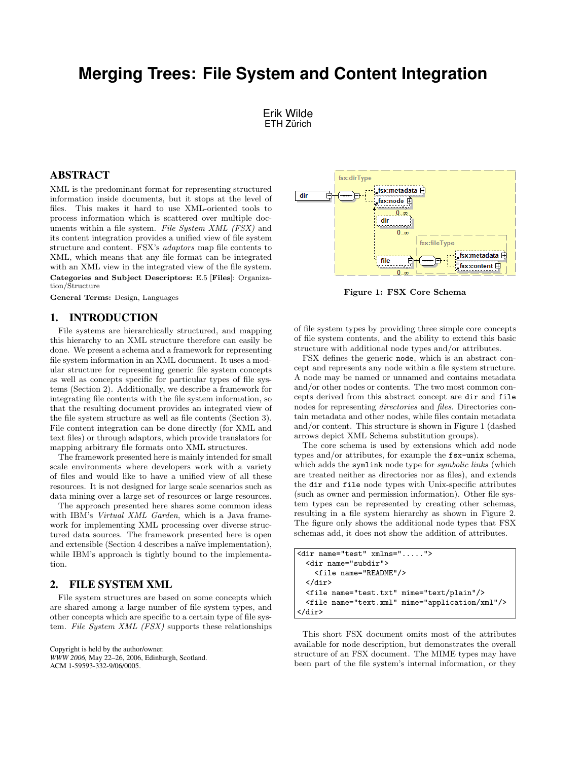# **Merging Trees: File System and Content Integration**

Erik Wilde ETH Zürich

## ABSTRACT

XML is the predominant format for representing structured information inside documents, but it stops at the level of files. This makes it hard to use XML-oriented tools to process information which is scattered over multiple documents within a file system. File System XML (FSX) and its content integration provides a unified view of file system structure and content. FSX's adaptors map file contents to XML, which means that any file format can be integrated with an XML view in the integrated view of the file system. Categories and Subject Descriptors: E.5 [Files]: Organization/Structure

General Terms: Design, Languages

## 1. INTRODUCTION

File systems are hierarchically structured, and mapping this hierarchy to an XML structure therefore can easily be done. We present a schema and a framework for representing file system information in an XML document. It uses a modular structure for representing generic file system concepts as well as concepts specific for particular types of file systems (Section 2). Additionally, we describe a framework for integrating file contents with the file system information, so that the resulting document provides an integrated view of the file system structure as well as file contents (Section [3\)](#page-1-0). File content integration can be done directly (for XML and text files) or through adaptors, which provide translators for mapping arbitrary file formats onto XML structures.

The framework presented here is mainly intended for small scale environments where developers work with a variety of files and would like to have a unified view of all these resources. It is not designed for large scale scenarios such as data mining over a large set of resources or large resources.

The approach presented here shares some common ideas with IBM's Virtual XML Garden, which is a Java framework for implementing XML processing over diverse structured data sources. The framework presented here is open and extensible (Section [4](#page-1-0) describes a naïve implementation), while IBM's approach is tightly bound to the implementation.

## 2. FILE SYSTEM XML

File system structures are based on some concepts which are shared among a large number of file system types, and other concepts which are specific to a certain type of file system. File System XML (FSX) supports these relationships

Copyright is held by the author/owner. *WWW 2006,* May 22–26, 2006, Edinburgh, Scotland. ACM 1-59593-332-9/06/0005.



Figure 1: FSX Core Schema

of file system types by providing three simple core concepts of file system contents, and the ability to extend this basic structure with additional node types and/or attributes.

FSX defines the generic node, which is an abstract concept and represents any node within a file system structure. A node may be named or unnamed and contains metadata and/or other nodes or contents. The two most common concepts derived from this abstract concept are dir and file nodes for representing directories and files. Directories contain metadata and other nodes, while files contain metadata and/or content. This structure is shown in Figure 1 (dashed arrows depict XML Schema substitution groups).

The core schema is used by extensions which add node types and/or attributes, for example the fsx-unix schema, which adds the symlink node type for *symbolic links* (which are treated neither as directories nor as files), and extends the dir and file node types with Unix-specific attributes (such as owner and permission information). Other file system types can be represented by creating other schemas, resulting in a file system hierarchy as shown in Figure [2.](#page-1-0) The figure only shows the additional node types that FSX schemas add, it does not show the addition of attributes.

```
<dir name="test" xmlns=".....">
 <dir name="subdir">
    <file name="README"/>
 </dir>
 <file name="test.txt" mime="text/plain"/>
 <file name="text.xml" mime="application/xml"/>
</dir>
```
This short FSX document omits most of the attributes available for node description, but demonstrates the overall structure of an FSX document. The MIME types may have been part of the file system's internal information, or they